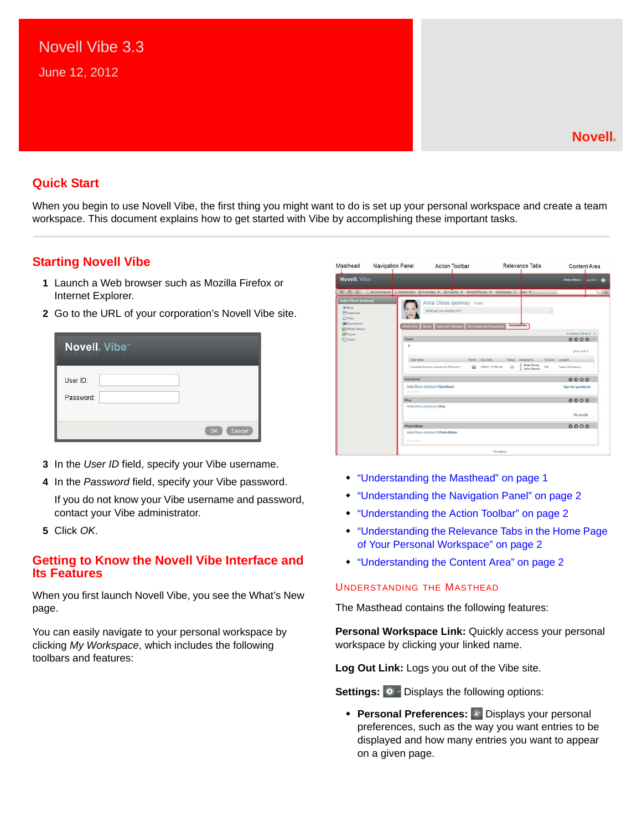## **Quick Start**

When you begin to use Novell Vibe, the first thing you might want to do is set up your personal workspace and create a team workspace. This document explains how to get started with Vibe by accomplishing these important tasks.

## **Starting Novell Vibe**

- **1** Launch a Web browser such as Mozilla Firefox or Internet Explorer.
- **2** Go to the URL of your corporation's Novell Vibe site.

| Novell. Vibe <sup>®</sup> |              |
|---------------------------|--------------|
| User ID:<br>Password:     |              |
|                           | Cancel<br>OK |

- **3** In the *User ID* field, specify your Vibe username.
- **4** In the *Password* field, specify your Vibe password.

If you do not know your Vibe username and password, contact your Vibe administrator.

**5** Click *OK*.

## **Getting to Know the Novell Vibe Interface and Its Features**

When you first launch Novell Vibe, you see the What's New page.

You can easily navigate to your personal workspace by clicking *My Workspace*, which includes the following toolbars and features:

| Masthead                                                                                     | Navigation Panel<br>Relevance Tabs<br><b>Action Toolbar</b><br>Content Area                                                                       |              |
|----------------------------------------------------------------------------------------------|---------------------------------------------------------------------------------------------------------------------------------------------------|--------------|
| Novell. Viber                                                                                | <b>Anita Olivos</b><br>Log Out   @                                                                                                                |              |
|                                                                                              | 4 4. E: C) My Workspace C/ What's New Wy Favorites N Wy Teams N Recent Places N Workspace N Vers                                                  | <b>A HAR</b> |
| Anita Olivos (aolivos)<br><b>E Biog</b><br>Calendar<br><b>Ciriles</b><br><b>Ed Guestbook</b> | Anita Olivos (aolivos) Pratte<br>What are you woming on?<br>Accessories<br>What's New   Recent   Taxis and Calendars   Micro-Blogs and Shared Ben |              |
| <b>IE Photo Album</b><br>69 Tasks                                                            | Accessory Panel                                                                                                                                   |              |
| <b>Ed Trash</b>                                                                              | 0000<br>Tasks                                                                                                                                     |              |
|                                                                                              | b<br>[110.1 of 1]                                                                                                                                 |              |
|                                                                                              | Task Name<br><b>Due Date</b><br>% Done<br>Priority<br>Status Assigned to<br>Locatint                                                              |              |
|                                                                                              | C. Anita Olivois<br>Complete Product Analysis for Product Z.<br>608111100 AM<br><b>D%</b><br>Tasks (Warketing)<br>õ<br><b>2</b> Julia Chaves      |              |
|                                                                                              | 0000<br>Guesthook                                                                                                                                 |              |
|                                                                                              | Anita Olivos (aolivos) il Guestbook<br><b>Sign the guestbook</b><br>The Minimum                                                                   |              |
|                                                                                              | $0000 -$<br><b>Blog</b>                                                                                                                           |              |
|                                                                                              | Anta Olivos (aclivos) il Blog<br>No results                                                                                                       |              |
|                                                                                              | 0000<br>Photo Album                                                                                                                               |              |
|                                                                                              | Anita Olivos (aolivos) il Photo Album<br>Disk processed                                                                                           |              |
|                                                                                              | Permainia                                                                                                                                         |              |

- ["Understanding the Masthead" on page 1](#page-0-0)
- ["Understanding the Navigation Panel" on page 2](#page-1-0)
- ["Understanding the Action Toolbar" on page 2](#page-1-1)
- ["Understanding the Relevance Tabs in the Home Page](#page-1-2)  [of Your Personal Workspace" on page 2](#page-1-2)
- ["Understanding the Content Area" on page 2](#page-1-3)

#### <span id="page-0-0"></span>UNDERSTANDING THE MASTHEAD

The Masthead contains the following features:

**Personal Workspace Link:** Quickly access your personal workspace by clicking your linked name.

**Log Out Link:** Logs you out of the Vibe site.

**Settings:**  $\frac{1}{2}$  Displays the following options:

**+ Personal Preferences:** P Displays your personal preferences, such as the way you want entries to be displayed and how many entries you want to appear on a given page.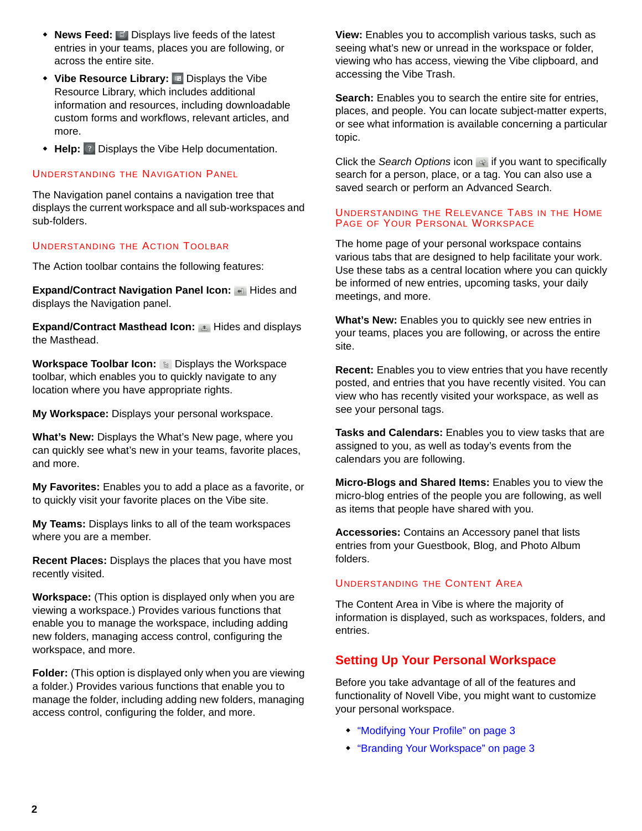- **News Feed:** Displays live feeds of the latest entries in your teams, places you are following, or across the entire site.
- **Vibe Resource Library: E** Displays the Vibe Resource Library, which includes additional information and resources, including downloadable custom forms and workflows, relevant articles, and more.
- **Help:** Displays the Vibe Help documentation.

## <span id="page-1-0"></span>UNDERSTANDING THE NAVIGATION PANEL

The Navigation panel contains a navigation tree that displays the current workspace and all sub-workspaces and sub-folders.

## <span id="page-1-1"></span>UNDERSTANDING THE ACTION TOOLBAR

The Action toolbar contains the following features:

**Expand/Contract Navigation Panel Icon: 4 Hides and** displays the Navigation panel.

**Expand/Contract Masthead Icon:**  $\triangle$  **Hides and displays** the Masthead.

**Workspace Toolbar Icon: & Displays the Workspace** toolbar, which enables you to quickly navigate to any location where you have appropriate rights.

**My Workspace:** Displays your personal workspace.

**What's New:** Displays the What's New page, where you can quickly see what's new in your teams, favorite places, and more.

**My Favorites:** Enables you to add a place as a favorite, or to quickly visit your favorite places on the Vibe site.

**My Teams:** Displays links to all of the team workspaces where you are a member.

**Recent Places:** Displays the places that you have most recently visited.

**Workspace:** (This option is displayed only when you are viewing a workspace.) Provides various functions that enable you to manage the workspace, including adding new folders, managing access control, configuring the workspace, and more.

**Folder:** (This option is displayed only when you are viewing a folder.) Provides various functions that enable you to manage the folder, including adding new folders, managing access control, configuring the folder, and more.

**View:** Enables you to accomplish various tasks, such as seeing what's new or unread in the workspace or folder, viewing who has access, viewing the Vibe clipboard, and accessing the Vibe Trash.

**Search:** Enables you to search the entire site for entries, places, and people. You can locate subject-matter experts, or see what information is available concerning a particular topic.

Click the *Search Options* icon  $\bullet$  if you want to specifically search for a person, place, or a tag. You can also use a saved search or perform an Advanced Search.

### <span id="page-1-2"></span>UNDERSTANDING THE RELEVANCE TABS IN THE HOME PAGE OF YOUR PERSONAL WORKSPACE

The home page of your personal workspace contains various tabs that are designed to help facilitate your work. Use these tabs as a central location where you can quickly be informed of new entries, upcoming tasks, your daily meetings, and more.

**What's New:** Enables you to quickly see new entries in your teams, places you are following, or across the entire site.

**Recent:** Enables you to view entries that you have recently posted, and entries that you have recently visited. You can view who has recently visited your workspace, as well as see your personal tags.

**Tasks and Calendars:** Enables you to view tasks that are assigned to you, as well as today's events from the calendars you are following.

**Micro-Blogs and Shared Items:** Enables you to view the micro-blog entries of the people you are following, as well as items that people have shared with you.

**Accessories:** Contains an Accessory panel that lists entries from your Guestbook, Blog, and Photo Album folders.

### <span id="page-1-3"></span>UNDERSTANDING THE CONTENT AREA

The Content Area in Vibe is where the majority of information is displayed, such as workspaces, folders, and entries.

# **Setting Up Your Personal Workspace**

Before you take advantage of all of the features and functionality of Novell Vibe, you might want to customize your personal workspace.

- ["Modifying Your Profile" on page 3](#page-2-0)
- ["Branding Your Workspace" on page 3](#page-2-1)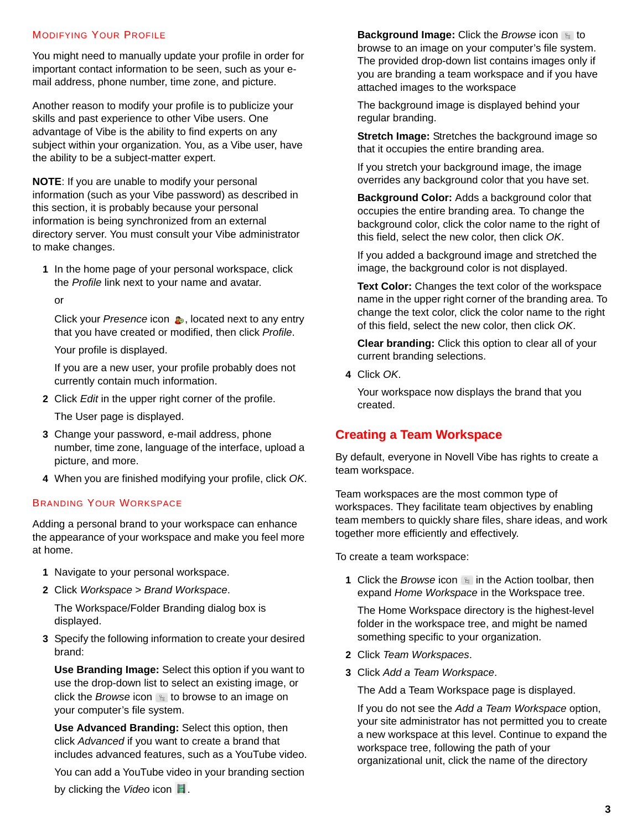### <span id="page-2-0"></span>MODIFYING YOUR PROFILE

You might need to manually update your profile in order for important contact information to be seen, such as your email address, phone number, time zone, and picture.

Another reason to modify your profile is to publicize your skills and past experience to other Vibe users. One advantage of Vibe is the ability to find experts on any subject within your organization. You, as a Vibe user, have the ability to be a subject-matter expert.

**NOTE**: If you are unable to modify your personal information (such as your Vibe password) as described in this section, it is probably because your personal information is being synchronized from an external directory server. You must consult your Vibe administrator to make changes.

- **1** In the home page of your personal workspace, click the *Profile* link next to your name and avatar.
	- or

Click your *Presence* icon **b**, located next to any entry that you have created or modified, then click *Profile*.

Your profile is displayed.

If you are a new user, your profile probably does not currently contain much information.

**2** Click *Edit* in the upper right corner of the profile.

The User page is displayed.

- **3** Change your password, e-mail address, phone number, time zone, language of the interface, upload a picture, and more.
- **4** When you are finished modifying your profile, click *OK*.

### <span id="page-2-1"></span>BRANDING YOUR WORKSPACE

Adding a personal brand to your workspace can enhance the appearance of your workspace and make you feel more at home.

- **1** Navigate to your personal workspace.
- **2** Click *Workspace* > *Brand Workspace*.

The Workspace/Folder Branding dialog box is displayed.

**3** Specify the following information to create your desired brand:

**Use Branding Image:** Select this option if you want to use the drop-down list to select an existing image, or click the *Browse* icon **to browse** to an image on your computer's file system.

**Use Advanced Branding:** Select this option, then click *Advanced* if you want to create a brand that includes advanced features, such as a YouTube video.

You can add a YouTube video in your branding section by clicking the *Video* icon **日**.

**Background Image:** Click the *Browse* icon to to browse to an image on your computer's file system. The provided drop-down list contains images only if you are branding a team workspace and if you have attached images to the workspace

The background image is displayed behind your regular branding.

**Stretch Image:** Stretches the background image so that it occupies the entire branding area.

If you stretch your background image, the image overrides any background color that you have set.

**Background Color:** Adds a background color that occupies the entire branding area. To change the background color, click the color name to the right of this field, select the new color, then click *OK*.

If you added a background image and stretched the image, the background color is not displayed.

**Text Color:** Changes the text color of the workspace name in the upper right corner of the branding area. To change the text color, click the color name to the right of this field, select the new color, then click *OK*.

**Clear branding:** Click this option to clear all of your current branding selections.

**4** Click *OK*.

Your workspace now displays the brand that you created.

## **Creating a Team Workspace**

By default, everyone in Novell Vibe has rights to create a team workspace.

Team workspaces are the most common type of workspaces. They facilitate team objectives by enabling team members to quickly share files, share ideas, and work together more efficiently and effectively.

To create a team workspace:

**1** Click the *Browse* icon **in** in the Action toolbar, then expand *Home Workspace* in the Workspace tree.

The Home Workspace directory is the highest-level folder in the workspace tree, and might be named something specific to your organization.

- **2** Click *Team Workspaces*.
- **3** Click *Add a Team Workspace*.

The Add a Team Workspace page is displayed.

If you do not see the *Add a Team Workspace* option, your site administrator has not permitted you to create a new workspace at this level. Continue to expand the workspace tree, following the path of your organizational unit, click the name of the directory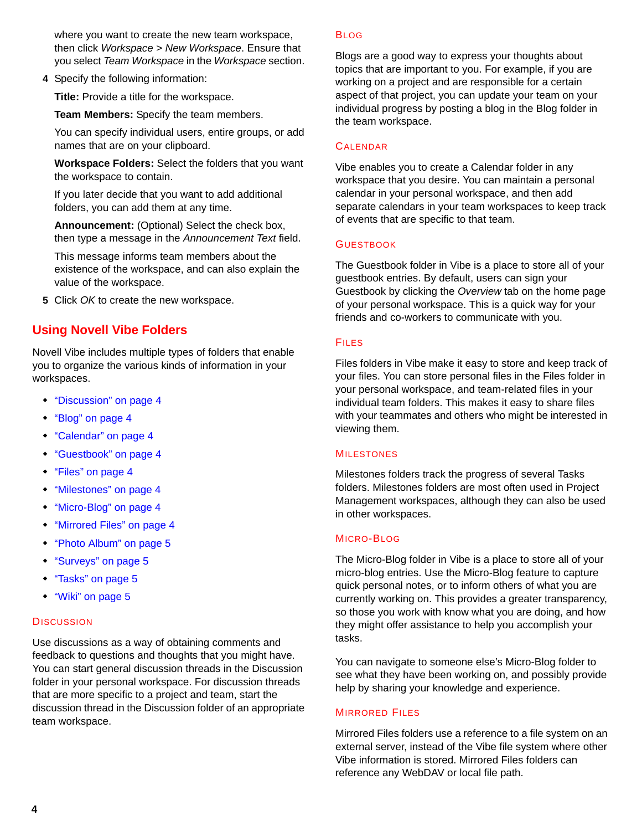where you want to create the new team workspace, then click *Workspace* > *New Workspace*. Ensure that you select *Team Workspace* in the *Workspace* section.

**4** Specify the following information:

**Title:** Provide a title for the workspace.

**Team Members:** Specify the team members.

You can specify individual users, entire groups, or add names that are on your clipboard.

**Workspace Folders:** Select the folders that you want the workspace to contain.

If you later decide that you want to add additional folders, you can add them at any time.

**Announcement:** (Optional) Select the check box, then type a message in the *Announcement Text* field.

This message informs team members about the existence of the workspace, and can also explain the value of the workspace.

**5** Click *OK* to create the new workspace.

## **Using Novell Vibe Folders**

Novell Vibe includes multiple types of folders that enable you to organize the various kinds of information in your workspaces.

- ["Discussion" on page 4](#page-3-0)
- ["Blog" on page 4](#page-3-1)
- ["Calendar" on page 4](#page-3-2)
- ["Guestbook" on page 4](#page-3-3)
- ["Files" on page 4](#page-3-4)
- ["Milestones" on page 4](#page-3-5)
- ["Micro-Blog" on page 4](#page-3-6)
- ["Mirrored Files" on page 4](#page-3-7)
- ["Photo Album" on page 5](#page-4-1)
- ["Surveys" on page 5](#page-4-2)
- ["Tasks" on page 5](#page-4-3)
- ["Wiki" on page 5](#page-4-0)

#### <span id="page-3-0"></span>**DISCUSSION**

Use discussions as a way of obtaining comments and feedback to questions and thoughts that you might have. You can start general discussion threads in the Discussion folder in your personal workspace. For discussion threads that are more specific to a project and team, start the discussion thread in the Discussion folder of an appropriate team workspace.

#### <span id="page-3-1"></span>BLOG

Blogs are a good way to express your thoughts about topics that are important to you. For example, if you are working on a project and are responsible for a certain aspect of that project, you can update your team on your individual progress by posting a blog in the Blog folder in the team workspace.

#### <span id="page-3-2"></span>**CALENDAR**

Vibe enables you to create a Calendar folder in any workspace that you desire. You can maintain a personal calendar in your personal workspace, and then add separate calendars in your team workspaces to keep track of events that are specific to that team.

#### <span id="page-3-3"></span>**GUESTBOOK**

The Guestbook folder in Vibe is a place to store all of your guestbook entries. By default, users can sign your Guestbook by clicking the *Overview* tab on the home page of your personal workspace. This is a quick way for your friends and co-workers to communicate with you.

#### <span id="page-3-4"></span>FILES

Files folders in Vibe make it easy to store and keep track of your files. You can store personal files in the Files folder in your personal workspace, and team-related files in your individual team folders. This makes it easy to share files with your teammates and others who might be interested in viewing them.

#### <span id="page-3-5"></span>MILESTONES

Milestones folders track the progress of several Tasks folders. Milestones folders are most often used in Project Management workspaces, although they can also be used in other workspaces.

#### <span id="page-3-6"></span>MICRO-BLOG

The Micro-Blog folder in Vibe is a place to store all of your micro-blog entries. Use the Micro-Blog feature to capture quick personal notes, or to inform others of what you are currently working on. This provides a greater transparency, so those you work with know what you are doing, and how they might offer assistance to help you accomplish your tasks.

You can navigate to someone else's Micro-Blog folder to see what they have been working on, and possibly provide help by sharing your knowledge and experience.

#### <span id="page-3-7"></span>**MIRRORED FILES**

Mirrored Files folders use a reference to a file system on an external server, instead of the Vibe file system where other Vibe information is stored. Mirrored Files folders can reference any WebDAV or local file path.